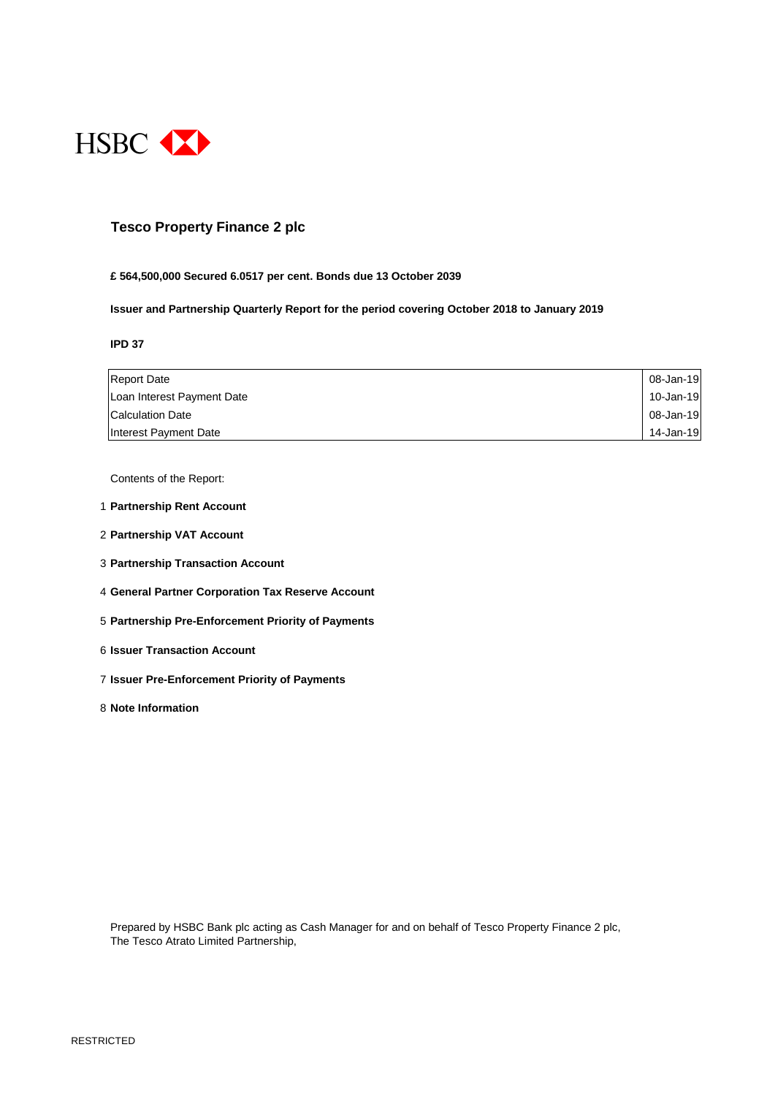

## **Tesco Property Finance 2 plc**

#### **£ 564,500,000 Secured 6.0517 per cent. Bonds due 13 October 2039**

**Issuer and Partnership Quarterly Report for the period covering October 2018 to January 2019**

#### **IPD 37**

| <b>Report Date</b>         | 08-Jan-19 |
|----------------------------|-----------|
| Loan Interest Payment Date | 10-Jan-19 |
| Calculation Date           | 08-Jan-19 |
| Interest Payment Date      | 14-Jan-19 |

Contents of the Report:

- 1 **Partnership Rent Account**
- 2 **Partnership VAT Account**
- 3 **Partnership Transaction Account**
- 4 **General Partner Corporation Tax Reserve Account**
- 5 **Partnership Pre-Enforcement Priority of Payments**
- 6 **Issuer Transaction Account**
- 7 **Issuer Pre-Enforcement Priority of Payments**
- 8 **Note Information**

Prepared by HSBC Bank plc acting as Cash Manager for and on behalf of Tesco Property Finance 2 plc, The Tesco Atrato Limited Partnership,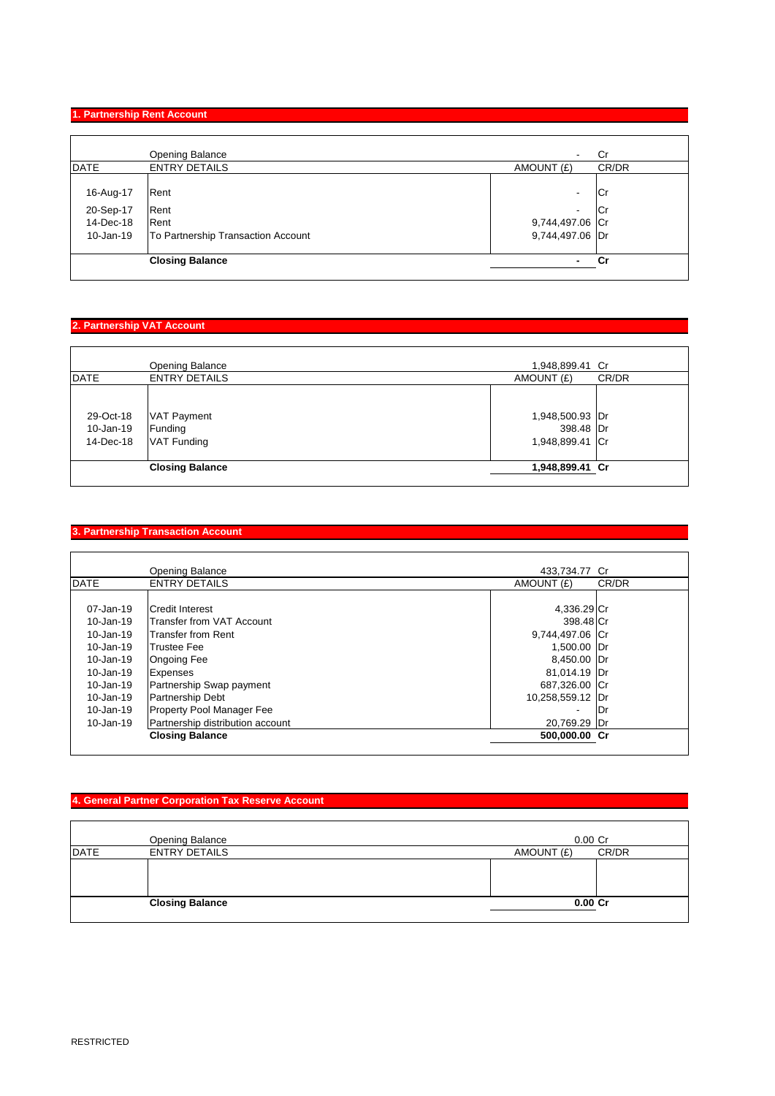## **1. Partnership Rent Account**

|                                                  | <b>Opening Balance</b>                                     | $\overline{\phantom{a}}$                                            | Cr                     |
|--------------------------------------------------|------------------------------------------------------------|---------------------------------------------------------------------|------------------------|
| <b>DATE</b>                                      | <b>ENTRY DETAILS</b>                                       | AMOUNT (£)                                                          | CR/DR                  |
| 16-Aug-17<br>20-Sep-17<br>14-Dec-18<br>10-Jan-19 | Rent<br>Rent<br>Rent<br>To Partnership Transaction Account | ۰<br>$\overline{\phantom{a}}$<br>9,744,497.06 Cr<br>9,744,497.06 Dr | <b>Cr</b><br><b>Cr</b> |
|                                                  | <b>Closing Balance</b>                                     | ۰.                                                                  | Cr                     |
|                                                  |                                                            |                                                                     |                        |

## **2. Partnership VAT Account**

|             | Opening Balance        | 1,948,899.41 Cr |       |
|-------------|------------------------|-----------------|-------|
| <b>DATE</b> | <b>ENTRY DETAILS</b>   | AMOUNT (£)      | CR/DR |
|             |                        |                 |       |
| 29-Oct-18   | <b>VAT Payment</b>     | 1,948,500.93 Dr |       |
| 10-Jan-19   | Funding                | 398.48 Dr       |       |
| 14-Dec-18   | <b>VAT Funding</b>     | 1,948,899.41 Cr |       |
|             |                        |                 |       |
|             | <b>Closing Balance</b> | 1,948,899.41 Cr |       |
|             |                        |                 |       |

## **3. Partnership Transaction Account**

|               | Opening Balance                  | 433,734.77 Cr            |       |
|---------------|----------------------------------|--------------------------|-------|
| <b>DATE</b>   | <b>ENTRY DETAILS</b>             | AMOUNT (£)               | CR/DR |
|               |                                  |                          |       |
| 07-Jan-19     | <b>Credit Interest</b>           | 4,336.29 Cr              |       |
| 10-Jan-19     | Transfer from VAT Account        | 398.48 Cr                |       |
| 10-Jan-19     | <b>Transfer from Rent</b>        | 9,744,497.06 Cr          |       |
| $10 - Jan-19$ | <b>Trustee Fee</b>               | 1,500.00 Dr              |       |
| 10-Jan-19     | <b>Ongoing Fee</b>               | 8,450.00 Dr              |       |
| $10 - Jan-19$ | <b>Expenses</b>                  | 81,014.19 Dr             |       |
| 10-Jan-19     | Partnership Swap payment         | 687,326.00 Cr            |       |
| 10-Jan-19     | Partnership Debt                 | 10,258,559.12            | IDr   |
| 10-Jan-19     | Property Pool Manager Fee        | $\overline{\phantom{a}}$ | 1Dr   |
| $10 - Jan-19$ | Partnership distribution account | 20,769.29 Dr             |       |
|               | <b>Closing Balance</b>           | 500,000.00 Cr            |       |
|               |                                  |                          |       |

# **4. General Partner Corporation Tax Reserve Account**

| Opening Balance                     |            | $0.00$ Cr |
|-------------------------------------|------------|-----------|
| <b>DATE</b><br><b>ENTRY DETAILS</b> | AMOUNT (£) | CR/DR     |
|                                     |            |           |
| <b>Closing Balance</b>              |            | $0.00C$ r |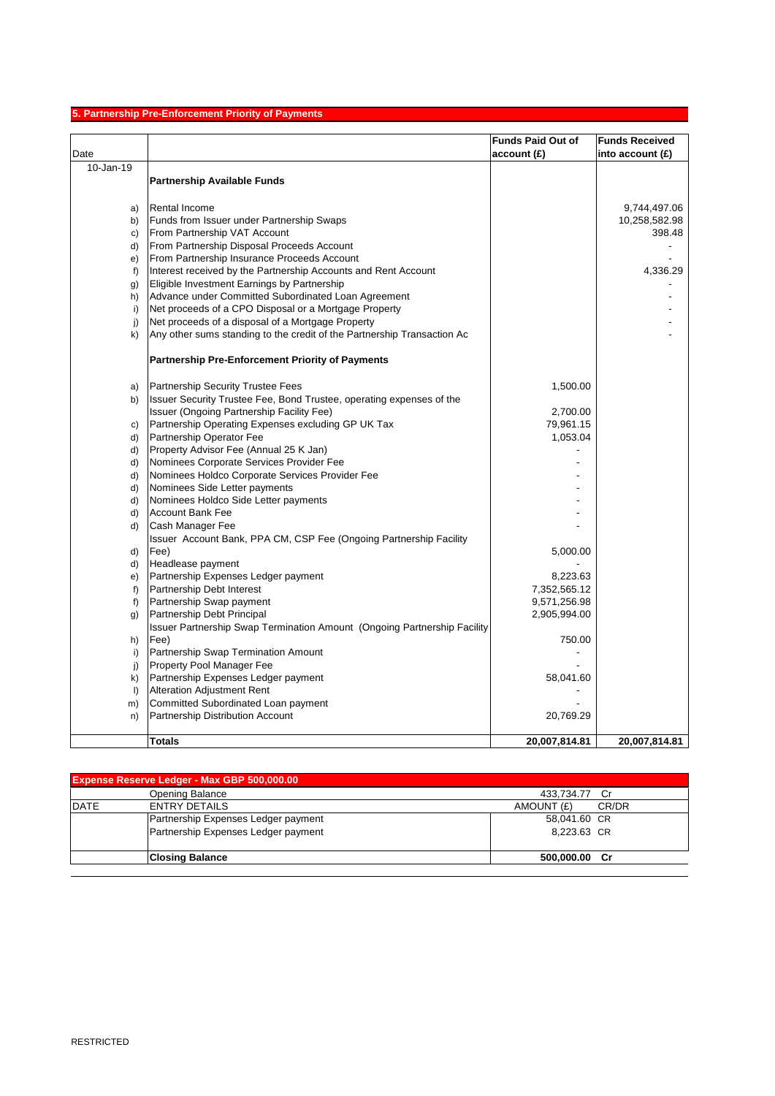# **5. Partnership Pre-Enforcement Priority of Payments**

| Date         |                                                                          | <b>Funds Paid Out of</b><br>account(E) | <b>Funds Received</b><br>into account $(f)$ |
|--------------|--------------------------------------------------------------------------|----------------------------------------|---------------------------------------------|
| 10-Jan-19    |                                                                          |                                        |                                             |
|              | <b>Partnership Available Funds</b>                                       |                                        |                                             |
| a)           | Rental Income                                                            |                                        | 9,744,497.06                                |
| b)           | Funds from Issuer under Partnership Swaps                                |                                        | 10,258,582.98                               |
| c)           | From Partnership VAT Account                                             |                                        | 398.48                                      |
| d)           | From Partnership Disposal Proceeds Account                               |                                        |                                             |
| e)           | From Partnership Insurance Proceeds Account                              |                                        |                                             |
| f            | Interest received by the Partnership Accounts and Rent Account           |                                        | 4,336.29                                    |
| g)           | Eligible Investment Earnings by Partnership                              |                                        |                                             |
| h)           | Advance under Committed Subordinated Loan Agreement                      |                                        |                                             |
| i)           | Net proceeds of a CPO Disposal or a Mortgage Property                    |                                        |                                             |
| j)           | Net proceeds of a disposal of a Mortgage Property                        |                                        |                                             |
| k)           | Any other sums standing to the credit of the Partnership Transaction Ac  |                                        |                                             |
|              | <b>Partnership Pre-Enforcement Priority of Payments</b>                  |                                        |                                             |
| a)           | <b>Partnership Security Trustee Fees</b>                                 | 1,500.00                               |                                             |
| b)           | Issuer Security Trustee Fee, Bond Trustee, operating expenses of the     |                                        |                                             |
|              | Issuer (Ongoing Partnership Facility Fee)                                | 2,700.00                               |                                             |
| C)           | Partnership Operating Expenses excluding GP UK Tax                       | 79,961.15                              |                                             |
| d)           | Partnership Operator Fee                                                 | 1,053.04                               |                                             |
| d)           | Property Advisor Fee (Annual 25 K Jan)                                   |                                        |                                             |
| d)           | Nominees Corporate Services Provider Fee                                 |                                        |                                             |
| d)           | Nominees Holdco Corporate Services Provider Fee                          |                                        |                                             |
| d)           | Nominees Side Letter payments                                            |                                        |                                             |
| d)           | Nominees Holdco Side Letter payments                                     |                                        |                                             |
| d)           | <b>Account Bank Fee</b>                                                  |                                        |                                             |
| d)           | Cash Manager Fee                                                         |                                        |                                             |
|              | Issuer Account Bank, PPA CM, CSP Fee (Ongoing Partnership Facility       |                                        |                                             |
| d)           | Fee)                                                                     | 5,000.00                               |                                             |
| d)           | Headlease payment                                                        |                                        |                                             |
| e)           | Partnership Expenses Ledger payment                                      | 8,223.63                               |                                             |
| f            | Partnership Debt Interest                                                | 7,352,565.12                           |                                             |
| $f$ )        | Partnership Swap payment                                                 | 9,571,256.98                           |                                             |
| g)           | Partnership Debt Principal                                               | 2,905,994.00                           |                                             |
|              | Issuer Partnership Swap Termination Amount (Ongoing Partnership Facility |                                        |                                             |
| h)           | Fee)                                                                     | 750.00                                 |                                             |
| i)           | Partnership Swap Termination Amount                                      |                                        |                                             |
| j)           | Property Pool Manager Fee                                                |                                        |                                             |
| k)           | Partnership Expenses Ledger payment                                      | 58,041.60                              |                                             |
| $\mathsf{I}$ | <b>Alteration Adjustment Rent</b>                                        |                                        |                                             |
| m)           | Committed Subordinated Loan payment                                      |                                        |                                             |
| n)           | Partnership Distribution Account                                         | 20,769.29                              |                                             |
|              | Totals                                                                   | 20,007,814.81                          | 20,007,814.81                               |

| <b>Expense Reserve Ledger - Max GBP 500,000.00</b> |                                     |                     |
|----------------------------------------------------|-------------------------------------|---------------------|
|                                                    | Opening Balance                     | 433,734.77 Cr       |
| <b>DATE</b>                                        | <b>ENTRY DETAILS</b>                | AMOUNT (£)<br>CR/DR |
|                                                    | Partnership Expenses Ledger payment | 58,041.60 CR        |
|                                                    | Partnership Expenses Ledger payment | 8.223.63 CR         |
|                                                    | <b>Closing Balance</b>              | 500,000.00 Cr       |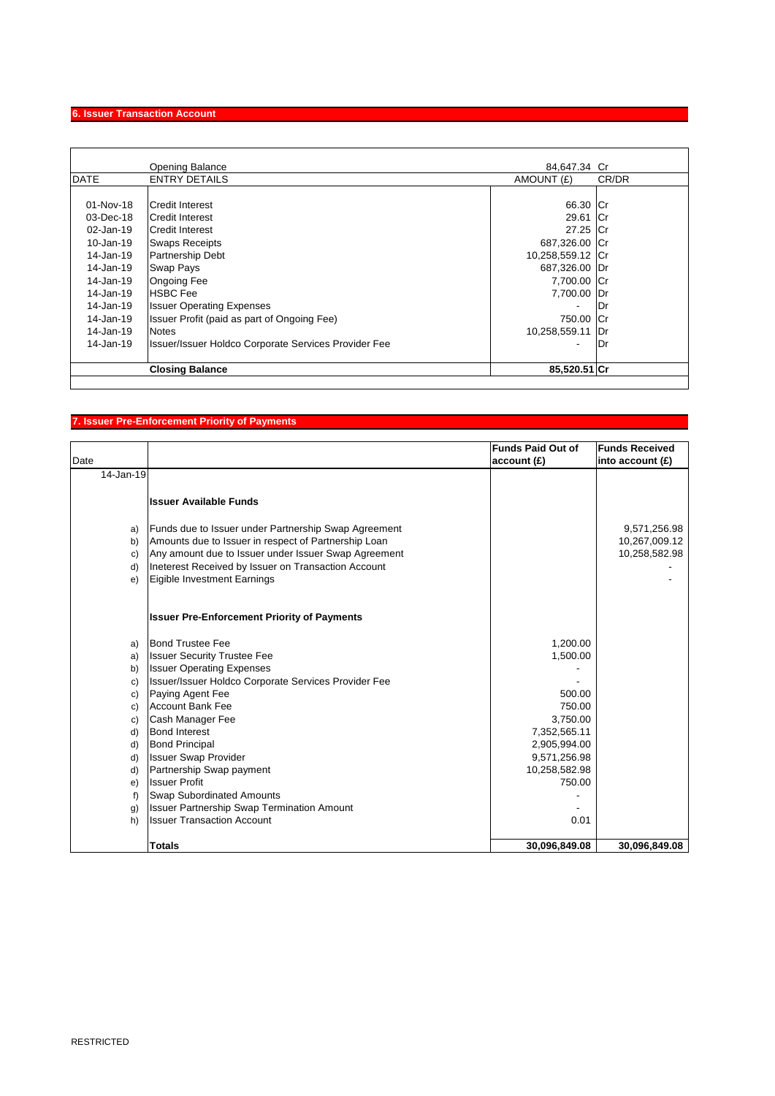# **6. Issuer Transaction Account**

|             | <b>Opening Balance</b>                                      | 84,647.34 Cr     |       |
|-------------|-------------------------------------------------------------|------------------|-------|
| <b>DATE</b> | <b>ENTRY DETAILS</b>                                        | AMOUNT (£)       | CR/DR |
|             |                                                             |                  |       |
| 01-Nov-18   | <b>Credit Interest</b>                                      | 66.30 Cr         |       |
| 03-Dec-18   | Credit Interest                                             | 29.61 Cr         |       |
| 02-Jan-19   | Credit Interest                                             | 27.25 Cr         |       |
| 10-Jan-19   | <b>Swaps Receipts</b>                                       | 687,326.00 Cr    |       |
| 14-Jan-19   | Partnership Debt                                            | 10,258,559.12 Cr |       |
| 14-Jan-19   | <b>Swap Pays</b>                                            | 687,326.00 Dr    |       |
| 14-Jan-19   | <b>Ongoing Fee</b>                                          | 7,700.00 Cr      |       |
| 14-Jan-19   | <b>HSBC Fee</b>                                             | 7,700.00         | Dr    |
| 14-Jan-19   | <b>Issuer Operating Expenses</b>                            | ٠                | Dr    |
| 14-Jan-19   | Issuer Profit (paid as part of Ongoing Fee)                 | 750.00           | -ICr  |
| 14-Jan-19   | <b>Notes</b>                                                | 10,258,559.11    | l Dr  |
| 14-Jan-19   | <b>Issuer/Issuer Holdco Corporate Services Provider Fee</b> | ٠                | lDr   |
|             | <b>Closing Balance</b>                                      | 85,520.51 Cr     |       |
|             |                                                             |                  |       |

# **7. Issuer Pre-Enforcement Priority of Payments**

| Date           |                                                      | <b>Funds Paid Out of</b><br>account (£) | <b>Funds Received</b><br>into account $(f)$ |
|----------------|------------------------------------------------------|-----------------------------------------|---------------------------------------------|
| 14-Jan-19      |                                                      |                                         |                                             |
|                |                                                      |                                         |                                             |
|                | <b>Issuer Available Funds</b>                        |                                         |                                             |
| a)             | Funds due to Issuer under Partnership Swap Agreement |                                         | 9,571,256.98                                |
| b)             | Amounts due to Issuer in respect of Partnership Loan |                                         | 10,267,009.12                               |
| c)             | Any amount due to Issuer under Issuer Swap Agreement |                                         | 10,258,582.98                               |
| d)             | Ineterest Received by Issuer on Transaction Account  |                                         |                                             |
| e)             | Eigible Investment Earnings                          |                                         |                                             |
|                |                                                      |                                         |                                             |
|                | <b>Issuer Pre-Enforcement Priority of Payments</b>   |                                         |                                             |
| a)             | <b>Bond Trustee Fee</b>                              | 1,200.00                                |                                             |
| a)             | <b>Issuer Security Trustee Fee</b>                   | 1,500.00                                |                                             |
| b)             | <b>Issuer Operating Expenses</b>                     |                                         |                                             |
| c)             | Issuer/Issuer Holdco Corporate Services Provider Fee |                                         |                                             |
| c)             | Paying Agent Fee                                     | 500.00                                  |                                             |
| c)             | <b>Account Bank Fee</b>                              | 750.00                                  |                                             |
| c)             | Cash Manager Fee                                     | 3,750.00                                |                                             |
| d)             | <b>Bond Interest</b>                                 | 7,352,565.11                            |                                             |
| d)             | <b>Bond Principal</b>                                | 2,905,994.00                            |                                             |
| d)             | <b>Issuer Swap Provider</b>                          | 9,571,256.98                            |                                             |
| d)             | Partnership Swap payment                             | 10,258,582.98                           |                                             |
| e)             | <b>Issuer Profit</b>                                 | 750.00                                  |                                             |
| f)             | <b>Swap Subordinated Amounts</b>                     |                                         |                                             |
| $\mathfrak{g}$ | <b>Issuer Partnership Swap Termination Amount</b>    |                                         |                                             |
| h)             | <b>Issuer Transaction Account</b>                    | 0.01                                    |                                             |
|                | <b>Totals</b>                                        | 30,096,849.08                           | 30,096,849.08                               |